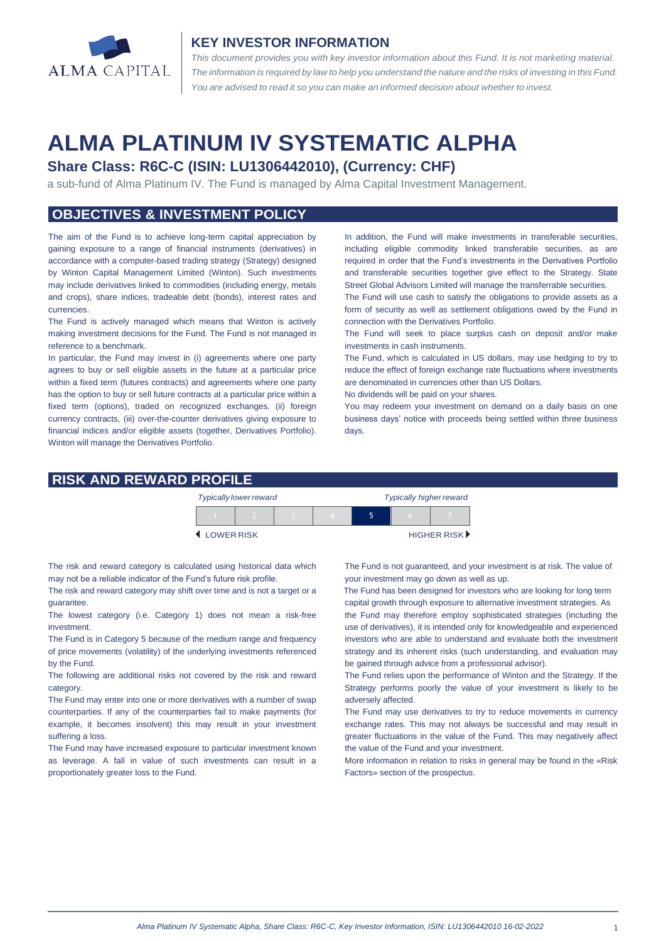

#### **KEY INVESTOR INFORMATION**

*This document provides you with key investor information about this Fund. It is not marketing material.*  The information is required by law to help you understand the nature and the risks of investing in this Fund. *You are advised to read it so you can make an informed decision about whether to invest.*

# **ALMA PLATINUM IV SYSTEMATIC ALPHA**

# **Share Class: R6C-C (ISIN: LU1306442010), (Currency: CHF)**

a sub-fund of Alma Platinum IV. The Fund is managed by Alma Capital Investment Management.

# **OBJECTIVES & INVESTMENT POLICY**

The aim of the Fund is to achieve long-term capital appreciation by gaining exposure to a range of financial instruments (derivatives) in accordance with a computer-based trading strategy (Strategy) designed by Winton Capital Management Limited (Winton). Such investments may include derivatives linked to commodities (including energy, metals and crops), share indices, tradeable debt (bonds), interest rates and currencies.

The Fund is actively managed which means that Winton is actively making investment decisions for the Fund. The Fund is not managed in reference to a benchmark.

In particular, the Fund may invest in (i) agreements where one party agrees to buy or sell eligible assets in the future at a particular price within a fixed term (futures contracts) and agreements where one party has the option to buy or sell future contracts at a particular price within a fixed term (options), traded on recognized exchanges, (ii) foreign currency contracts, (iii) over-the-counter derivatives giving exposure to financial indices and/or eligible assets (together, Derivatives Portfolio). Winton will manage the Derivatives Portfolio.

In addition, the Fund will make investments in transferable securities, including eligible commodity linked transferable securities, as are required in order that the Fund's investments in the Derivatives Portfolio and transferable securities together give effect to the Strategy. State Street Global Advisors Limited will manage the transferrable securities.

The Fund will use cash to satisfy the obligations to provide assets as a form of security as well as settlement obligations owed by the Fund in connection with the Derivatives Portfolio.

The Fund will seek to place surplus cash on deposit and/or make investments in cash instruments.

The Fund, which is calculated in US dollars, may use hedging to try to reduce the effect of foreign exchange rate fluctuations where investments are denominated in currencies other than US Dollars.

No dividends will be paid on your shares.

You may redeem your investment on demand on a daily basis on one business days' notice with proceeds being settled within three business days

### **RISK AND REWARD PROFILE**

|                     | <b>Typically lower reward</b> |  | <b>Typically higher reward</b> |  |  |                      |
|---------------------|-------------------------------|--|--------------------------------|--|--|----------------------|
|                     |                               |  |                                |  |  |                      |
| <b>4 LOWER RISK</b> |                               |  |                                |  |  | <b>HIGHER RISK</b> ▶ |

The risk and reward category is calculated using historical data which may not be a reliable indicator of the Fund's future risk profile.

The risk and reward category may shift over time and is not a target or a guarantee.

The lowest category (i.e. Category 1) does not mean a risk-free investment.

The Fund is in Category 5 because of the medium range and frequency of price movements (volatility) of the underlying investments referenced by the Fund.

The following are additional risks not covered by the risk and reward category.

The Fund may enter into one or more derivatives with a number of swap counterparties. If any of the counterparties fail to make payments (for example, it becomes insolvent) this may result in your investment suffering a loss.

The Fund may have increased exposure to particular investment known as leverage. A fall in value of such investments can result in a proportionately greater loss to the Fund.

The Fund is not guaranteed, and your investment is at risk. The value of your investment may go down as well as up.

 The Fund has been designed for investors who are looking for long term capital growth through exposure to alternative investment strategies. As the Fund may therefore employ sophisticated strategies (including the

use of derivatives), it is intended only for knowledgeable and experienced investors who are able to understand and evaluate both the investment strategy and its inherent risks (such understanding, and evaluation may be gained through advice from a professional advisor).

The Fund relies upon the performance of Winton and the Strategy. If the Strategy performs poorly the value of your investment is likely to be adversely affected.

The Fund may use derivatives to try to reduce movements in currency exchange rates. This may not always be successful and may result in greater fluctuations in the value of the Fund. This may negatively affect the value of the Fund and your investment.

More information in relation to risks in general may be found in the «Risk Factors» section of the prospectus.